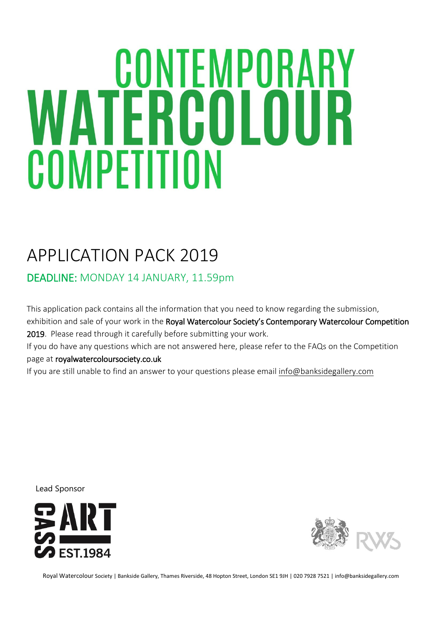# **WATERCOLOUR** COMPETITION

# APPLICATION PACK 2019

DEADLINE: MONDAY 14 JANUARY, 11.59pm

This application pack contains all the information that you need to know regarding the submission,

exhibition and sale of your work in the Royal Watercolour Society's Contemporary Watercolour Competition 2019. Please read through it carefully before submitting your work.

If you do have any questions which are not answered here, please refer to the FAQs on the Competition page at royalwatercoloursociety.co.uk

If you are still unable to find an answer to your questions please email [info@banksidegallery.com](mailto:info@banksidegallery.com)

Lead Sponsor





Royal Watercolour Society | Bankside Gallery, Thames Riverside, 48 Hopton Street, London SE1 9JH | 020 7928 7521 | info@banksidegallery.com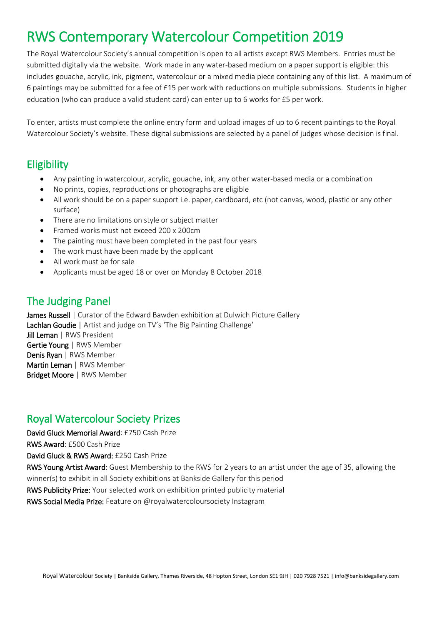# RWS Contemporary Watercolour Competition 2019

The Royal Watercolour Society's annual competition is open to all artists except RWS Members. Entries must be submitted digitally via the website. Work made in any water-based medium on a paper support is eligible: this includes gouache, acrylic, ink, pigment, watercolour or a mixed media piece containing any of this list. A maximum of 6 paintings may be submitted for a fee of £15 per work with reductions on multiple submissions. Students in higher education (who can produce a valid student card) can enter up to 6 works for £5 per work.

To enter, artists must complete the online entry form and upload images of up to 6 recent paintings to the Royal Watercolour Society's website. These digital submissions are selected by a panel of judges whose decision is final.

## **Eligibility**

- Any painting in watercolour, acrylic, gouache, ink, any other water-based media or a combination
- No prints, copies, reproductions or photographs are eligible
- All work should be on a paper support i.e. paper, cardboard, etc (not canvas, wood, plastic or any other surface)
- There are no limitations on style or subject matter
- Framed works must not exceed 200 x 200cm
- The painting must have been completed in the past four years
- The work must have been made by the applicant
- All work must be for sale
- Applicants must be aged 18 or over on Monday 8 October 2018

# The Judging Panel

James Russell | Curator of the Edward Bawden exhibition at Dulwich Picture Gallery Lachlan Goudie | Artist and judge on TV's 'The Big Painting Challenge' Jill Leman | RWS President Gertie Young | RWS Member Denis Ryan | RWS Member Martin Leman | RWS Member Bridget Moore | RWS Member

## Royal Watercolour Society Prizes

David Gluck Memorial Award: £750 Cash Prize

RWS Award: £500 Cash Prize

David Gluck & RWS Award: £250 Cash Prize

RWS Young Artist Award: Guest Membership to the RWS for 2 years to an artist under the age of 35, allowing the winner(s) to exhibit in all Society exhibitions at Bankside Gallery for this period

RWS Publicity Prize: Your selected work on exhibition printed publicity material

RWS Social Media Prize: Feature on @royalwatercoloursociety Instagram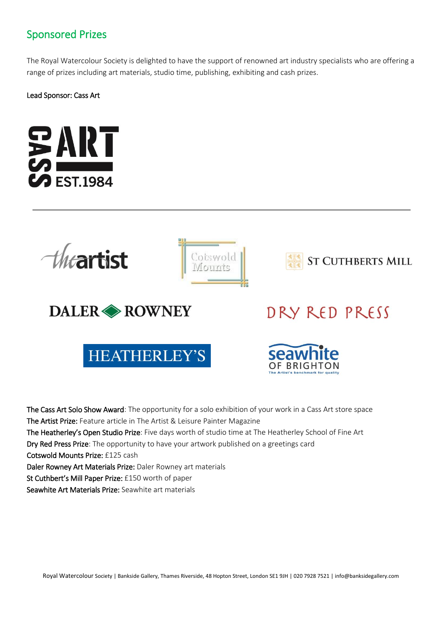# Sponsored Prizes

The Royal Watercolour Society is delighted to have the support of renowned art industry specialists who are offering a range of prizes including art materials, studio time, publishing, exhibiting and cash prizes.

Lead Sponsor: Cass Art





The Cass Art Solo Show Award: The opportunity for a solo exhibition of your work in a Cass Art store space The Artist Prize: Feature article in The Artist & Leisure Painter Magazine The Heatherley's Open Studio Prize: Five days worth of studio time at The Heatherley School of Fine Art Dry Red Press Prize: The opportunity to have your artwork published on a greetings card Cotswold Mounts Prize: £125 cash Daler Rowney Art Materials Prize: Daler Rowney art materials St Cuthbert's Mill Paper Prize: £150 worth of paper Seawhite Art Materials Prize: Seawhite art materials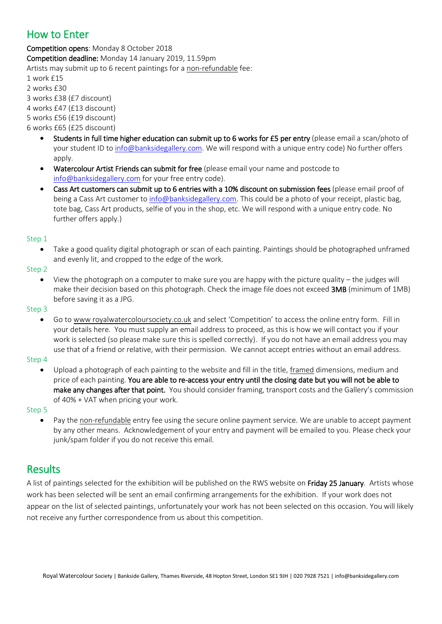# How to Enter

Competition opens: Monday 8 October 2018 Competition deadline: Monday 14 January 2019, 11.59pm Artists may submit up to 6 recent paintings for a non-refundable fee: 1 work £15

2 works £30

3 works £38 (£7 discount)

4 works £47 (£13 discount)

5 works £56 (£19 discount)

6 works £65 (£25 discount)

- Students in full time higher education can submit up to 6 works for £5 per entry (please email a scan/photo of your student ID to [info@banksidegallery.com.](mailto:info@banksidegallery.com) We will respond with a unique entry code) No further offers apply.
- Watercolour Artist Friends can submit for free (please email your name and postcode to [info@banksidegallery.com](mailto:info@banksidegallery.com) for your free entry code).
- Cass Art customers can submit up to 6 entries with a 10% discount on submission fees (please email proof of being a Cass Art customer to [info@banksidegallery.com.](mailto:info@banksidegallery.com) This could be a photo of your receipt, plastic bag, tote bag, Cass Art products, selfie of you in the shop, etc. We will respond with a unique entry code. No further offers apply.)

#### Step 1

 Take a good quality digital photograph or scan of each painting. Paintings should be photographed unframed and evenly lit, and cropped to the edge of the work.

#### Step 2

 View the photograph on a computer to make sure you are happy with the picture quality – the judges will make their decision based on this photograph. Check the image file does not exceed 3MB (minimum of 1MB) before saving it as a JPG.

#### Step 3

 Go to www royalwatercoloursociety.co.uk and select 'Competition' to access the online entry form. Fill in your details here. You must supply an email address to proceed, as this is how we will contact you if your work is selected (so please make sure this is spelled correctly). If you do not have an email address you may use that of a friend or relative, with their permission. We cannot accept entries without an email address.

#### Step 4

 Upload a photograph of each painting to the website and fill in the title, framed dimensions, medium and price of each painting. You are able to re-access your entry until the closing date but you will not be able to make any changes after that point. You should consider framing, transport costs and the Gallery's commission of 40% + VAT when pricing your work.

Step 5

Pay the non-refundable entry fee using the secure online payment service. We are unable to accept payment by any other means. Acknowledgement of your entry and payment will be emailed to you. Please check your junk/spam folder if you do not receive this email.

# Results

A list of paintings selected for the exhibition will be published on the RWS website on Friday 25 January. Artists whose work has been selected will be sent an email confirming arrangements for the exhibition. If your work does not appear on the list of selected paintings, unfortunately your work has not been selected on this occasion. You will likely not receive any further correspondence from us about this competition.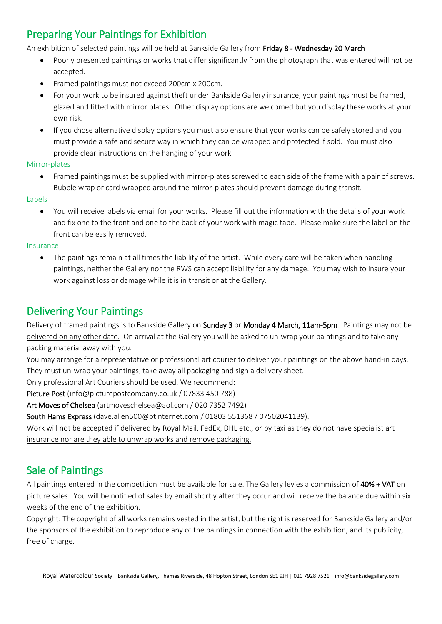# Preparing Your Paintings for Exhibition

An exhibition of selected paintings will be held at Bankside Gallery from Friday 8 - Wednesday 20 March

- Poorly presented paintings or works that differ significantly from the photograph that was entered will not be accepted.
- Framed paintings must not exceed 200cm x 200cm.
- For your work to be insured against theft under Bankside Gallery insurance, your paintings must be framed, glazed and fitted with mirror plates. Other display options are welcomed but you display these works at your own risk.
- If you chose alternative display options you must also ensure that your works can be safely stored and you must provide a safe and secure way in which they can be wrapped and protected if sold. You must also provide clear instructions on the hanging of your work.

#### Mirror-plates

 Framed paintings must be supplied with mirror-plates screwed to each side of the frame with a pair of screws. Bubble wrap or card wrapped around the mirror-plates should prevent damage during transit.

#### Labels

 You will receive labels via email for your works. Please fill out the information with the details of your work and fix one to the front and one to the back of your work with magic tape. Please make sure the label on the front can be easily removed.

#### Insurance

 The paintings remain at all times the liability of the artist. While every care will be taken when handling paintings, neither the Gallery nor the RWS can accept liability for any damage. You may wish to insure your work against loss or damage while it is in transit or at the Gallery.

# Delivering Your Paintings

Delivery of framed paintings is to Bankside Gallery on Sunday 3 or Monday 4 March, 11am-5pm. Paintings may not be delivered on any other date. On arrival at the Gallery you will be asked to un-wrap your paintings and to take any packing material away with you.

You may arrange for a representative or professional art courier to deliver your paintings on the above hand-in days. They must un-wrap your paintings, take away all packaging and sign a delivery sheet.

Only professional Art Couriers should be used. We recommend:

Picture Post (info@picturepostcompany.co.uk / 07833 450 788)

Art Moves of Chelsea (artmoveschelsea@aol.com / 020 7352 7492)

South Hams Express (dave.allen500@btinternet.com / 01803 551368 / 07502041139).

Work will not be accepted if delivered by Royal Mail, FedEx, DHL etc., or by taxi as they do not have specialist art insurance nor are they able to unwrap works and remove packaging.

# Sale of Paintings

All paintings entered in the competition must be available for sale. The Gallery levies a commission of 40% + VAT on picture sales. You will be notified of sales by email shortly after they occur and will receive the balance due within six weeks of the end of the exhibition.

Copyright: The copyright of all works remains vested in the artist, but the right is reserved for Bankside Gallery and/or the sponsors of the exhibition to reproduce any of the paintings in connection with the exhibition, and its publicity, free of charge.